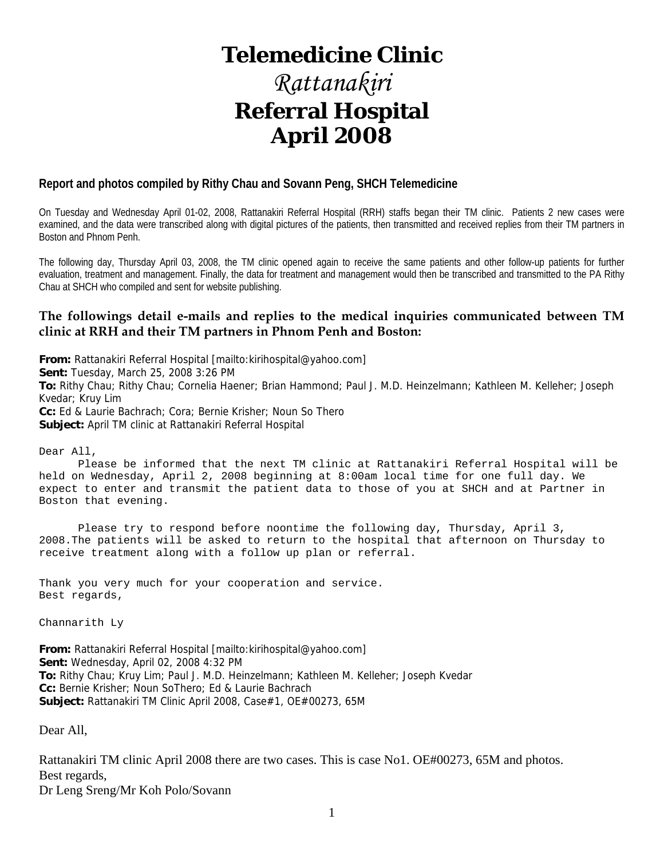## **Telemedicine Clinic**

## *Rattanakiri*  **Referral Hospital April 2008**

#### **Report and photos compiled by Rithy Chau and Sovann Peng, SHCH Telemedicine**

On Tuesday and Wednesday April 01-02, 2008, Rattanakiri Referral Hospital (RRH) staffs began their TM clinic. Patients 2 new cases were examined, and the data were transcribed along with digital pictures of the patients, then transmitted and received replies from their TM partners in Boston and Phnom Penh.

The following day, Thursday April 03, 2008, the TM clinic opened again to receive the same patients and other follow-up patients for further evaluation, treatment and management. Finally, the data for treatment and management would then be transcribed and transmitted to the PA Rithy Chau at SHCH who compiled and sent for website publishing.

#### **The followings detail e-mails and replies to the medical inquiries communicated between TM clinic at RRH and their TM partners in Phnom Penh and Boston:**

**From:** Rattanakiri Referral Hospital [mailto:kirihospital@yahoo.com] **Sent:** Tuesday, March 25, 2008 3:26 PM **To:** Rithy Chau; Rithy Chau; Cornelia Haener; Brian Hammond; Paul J. M.D. Heinzelmann; Kathleen M. Kelleher; Joseph Kvedar; Kruy Lim **Cc:** Ed & Laurie Bachrach; Cora; Bernie Krisher; Noun So Thero **Subject:** April TM clinic at Rattanakiri Referral Hospital

Dear All,

 Please be informed that the next TM clinic at Rattanakiri Referral Hospital will be held on Wednesday, April 2, 2008 beginning at 8:00am local time for one full day. We expect to enter and transmit the patient data to those of you at SHCH and at Partner in Boston that evening.

 Please try to respond before noontime the following day, Thursday, April 3, 2008.The patients will be asked to return to the hospital that afternoon on Thursday to receive treatment along with a follow up plan or referral.

Thank you very much for your cooperation and service. Best regards,

Channarith Ly

**From:** Rattanakiri Referral Hospital [mailto:kirihospital@yahoo.com] **Sent:** Wednesday, April 02, 2008 4:32 PM **To:** Rithy Chau; Kruy Lim; Paul J. M.D. Heinzelmann; Kathleen M. Kelleher; Joseph Kvedar **Cc:** Bernie Krisher; Noun SoThero; Ed & Laurie Bachrach **Subject:** Rattanakiri TM Clinic April 2008, Case#1, OE#00273, 65M

Dear All,

Rattanakiri TM clinic April 2008 there are two cases. This is case No1. OE#00273, 65M and photos. Best regards, Dr Leng Sreng/Mr Koh Polo/Sovann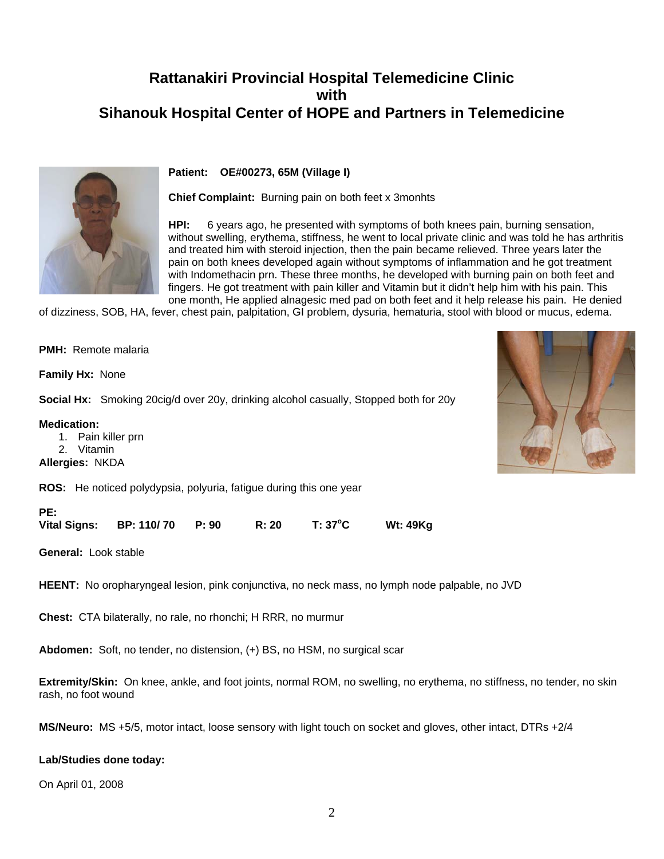### **Rattanakiri Provincial Hospital Telemedicine Clinic with Sihanouk Hospital Center of HOPE and Partners in Telemedicine**



#### **Patient: OE#00273, 65M (Village I)**

**Chief Complaint:** Burning pain on both feet x 3monhts

**HPI:** 6 years ago, he presented with symptoms of both knees pain, burning sensation, without swelling, erythema, stiffness, he went to local private clinic and was told he has arthritis and treated him with steroid injection, then the pain became relieved. Three years later the pain on both knees developed again without symptoms of inflammation and he got treatment with Indomethacin prn. These three months, he developed with burning pain on both feet and fingers. He got treatment with pain killer and Vitamin but it didn't help him with his pain. This one month, He applied alnagesic med pad on both feet and it help release his pain. He denied

of dizziness, SOB, HA, fever, chest pain, palpitation, GI problem, dysuria, hematuria, stool with blood or mucus, edema.

|                                              |            | <b>ROS:</b> He noticed polydypsia, polyuria, fatigue during this one year |  |                                                                                             |
|----------------------------------------------|------------|---------------------------------------------------------------------------|--|---------------------------------------------------------------------------------------------|
| <b>Medication:</b><br><b>Allergies: NKDA</b> | 2. Vitamin | 1. Pain killer prn                                                        |  |                                                                                             |
|                                              |            |                                                                           |  | <b>Social Hx:</b> Smoking 20cig/d over 20y, drinking alcohol casually, Stopped both for 20y |
| <b>Family Hx: None</b>                       |            |                                                                           |  |                                                                                             |
|                                              |            | <b>PMH:</b> Remote malaria                                                |  |                                                                                             |



| <b>General: Look stable</b> |  |
|-----------------------------|--|

**HEENT:** No oropharyngeal lesion, pink conjunctiva, no neck mass, no lymph node palpable, no JVD

**Chest:** CTA bilaterally, no rale, no rhonchi; H RRR, no murmur

**Abdomen:** Soft, no tender, no distension, (+) BS, no HSM, no surgical scar

**Extremity/Skin:** On knee, ankle, and foot joints, normal ROM, no swelling, no erythema, no stiffness, no tender, no skin rash, no foot wound

**MS/Neuro:** MS +5/5, motor intact, loose sensory with light touch on socket and gloves, other intact, DTRs +2/4

#### **Lab/Studies done today:**

On April 01, 2008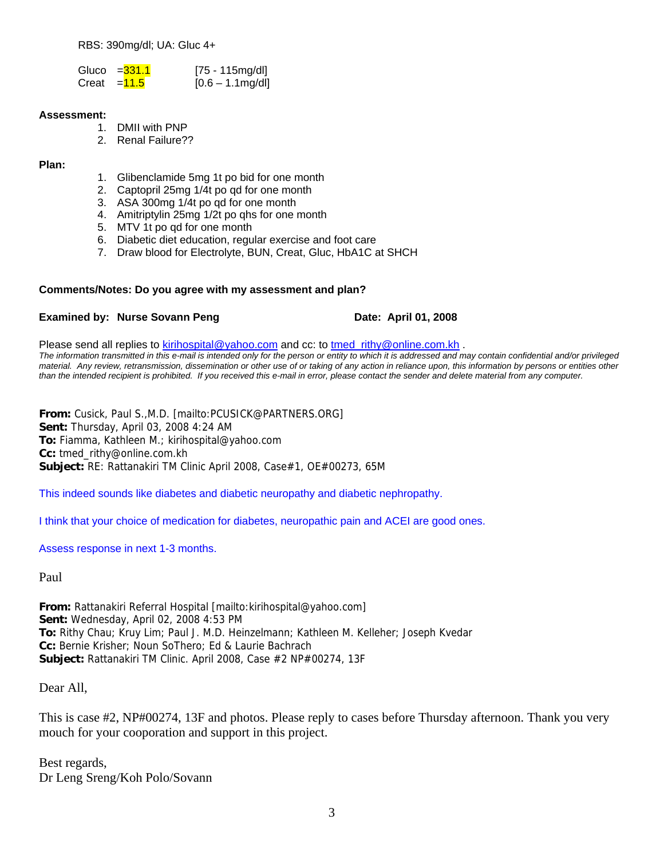RBS: 390mg/dl; UA: Gluc 4+

| Gluco = <mark>331.1</mark> | $[75 - 115mg/d]$    |
|----------------------------|---------------------|
| Creat = <mark>11.5</mark>  | $[0.6 - 1.1$ mg/dl] |

#### **Assessment:**

- 1. DMII with PNP
- 2. Renal Failure??

#### **Plan:**

- 1. Glibenclamide 5mg 1t po bid for one month
- 2. Captopril 25mg 1/4t po qd for one month
- 3. ASA 300mg 1/4t po qd for one month
- 4. Amitriptylin 25mg 1/2t po qhs for one month
- 5. MTV 1t po qd for one month
- 6. Diabetic diet education, regular exercise and foot care
- 7. Draw blood for Electrolyte, BUN, Creat, Gluc, HbA1C at SHCH

#### **Comments/Notes: Do you agree with my assessment and plan?**

#### **Examined by: Nurse Sovann Peng Date: April 01, 2008**

Please send all replies to [kirihospital@yahoo.com](mailto:kirihospital@yahoo.com) and cc: to [tmed\\_rithy@online.com.kh](mailto:tmed_rithy@bigpond.com.kh) . *The information transmitted in this e-mail is intended only for the person or entity to which it is addressed and may contain confidential and/or privileged material. Any review, retransmission, dissemination or other use of or taking of any action in reliance upon, this information by persons or entities other than the intended recipient is prohibited. If you received this e-mail in error, please contact the sender and delete material from any computer.*

**From:** Cusick, Paul S.,M.D. [mailto:PCUSICK@PARTNERS.ORG] **Sent:** Thursday, April 03, 2008 4:24 AM **To:** Fiamma, Kathleen M.; kirihospital@yahoo.com **Cc:** tmed\_rithy@online.com.kh **Subject:** RE: Rattanakiri TM Clinic April 2008, Case#1, OE#00273, 65M

This indeed sounds like diabetes and diabetic neuropathy and diabetic nephropathy.

I think that your choice of medication for diabetes, neuropathic pain and ACEI are good ones.

Assess response in next 1-3 months.

Paul

**From:** Rattanakiri Referral Hospital [mailto:kirihospital@yahoo.com] **Sent:** Wednesday, April 02, 2008 4:53 PM **To:** Rithy Chau; Kruy Lim; Paul J. M.D. Heinzelmann; Kathleen M. Kelleher; Joseph Kvedar **Cc:** Bernie Krisher; Noun SoThero; Ed & Laurie Bachrach **Subject:** Rattanakiri TM Clinic. April 2008, Case #2 NP#00274, 13F

Dear All,

This is case #2, NP#00274, 13F and photos. Please reply to cases before Thursday afternoon. Thank you very mouch for your cooporation and support in this project.

Best regards, Dr Leng Sreng/Koh Polo/Sovann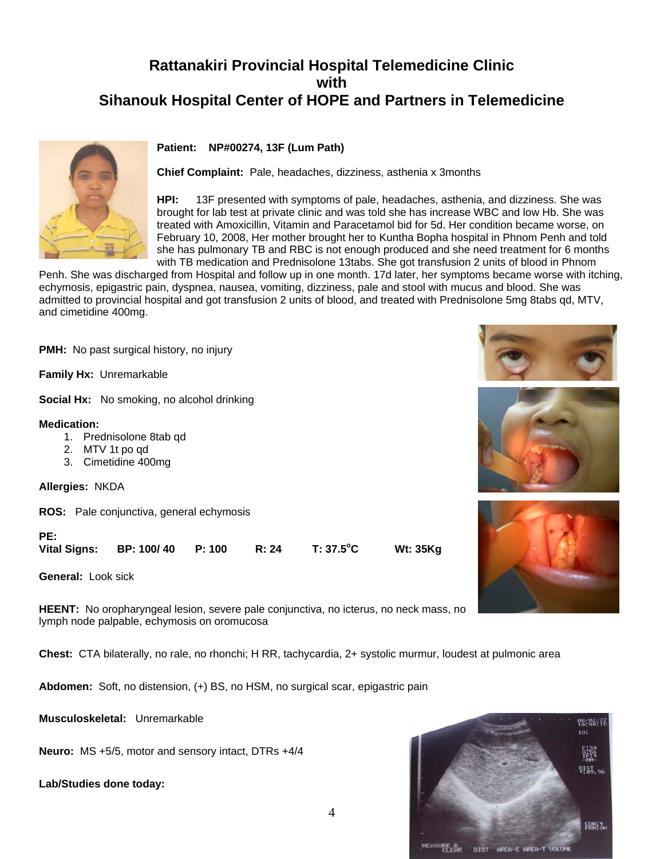### **Rattanakiri Provincial Hospital Telemedicine Clinic with Sihanouk Hospital Center of HOPE and Partners in Telemedicine**





**Chief Complaint:** Pale, headaches, dizziness, asthenia x 3months

**HPI:** 13F presented with symptoms of pale, headaches, asthenia, and dizziness. She was brought for lab test at private clinic and was told she has increase WBC and low Hb. She was treated with Amoxicillin, Vitamin and Paracetamol bid for 5d. Her condition became worse, on February 10, 2008, Her mother brought her to Kuntha Bopha hospital in Phnom Penh and told she has pulmonary TB and RBC is not enough produced and she need treatment for 6 months with TB medication and Prednisolone 13tabs. She got transfusion 2 units of blood in Phnom

**C Wt: 35Kg**

Penh. She was discharged from Hospital and follow up in one month. 17d later, her symptoms became worse with itching, echymosis, epigastric pain, dyspnea, nausea, vomiting, dizziness, pale and stool with mucus and blood. She was admitted to provincial hospital and got transfusion 2 units of blood, and treated with Prednisolone 5mg 8tabs qd, MTV, and cimetidine 400mg.

**PMH:** No past surgical history, no injury

**Family Hx:** Unremarkable

**Social Hx:** No smoking, no alcohol drinking

#### **Medication:**

- 1. Prednisolone 8tab qd
- 2. MTV 1t po qd
- 3. Cimetidine 400mg

**Allergies:** NKDA

**ROS:** Pale conjunctiva, general echymosis

**PE:** 

Vital Signs: BP: 100/ 40 P: 100 R: 24 T: 37.5<sup>°</sup>C

**General:** Look sick

**HEENT:** No oropharyngeal lesion, severe pale conjunctiva, no icterus, no neck mass, no lymph node palpable, echymosis on oromucosa

**Chest:** CTA bilaterally, no rale, no rhonchi; H RR, tachycardia, 2+ systolic murmur, loudest at pulmonic area

**Abdomen:** Soft, no distension, (+) BS, no HSM, no surgical scar, epigastric pain

**Musculoskeletal:** Unremarkable

**Neuro:** MS +5/5, motor and sensory intact, DTRs +4/4

**Lab/Studies done today:** 







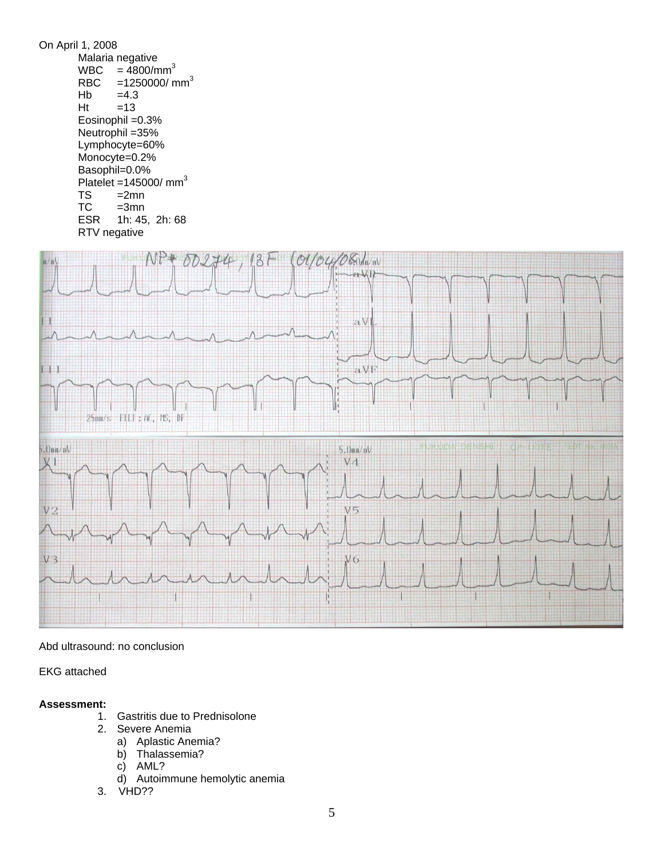

#### Abd ultrasound: no conclusion

#### EKG attached

#### **Assessment:**

- 1. Gastritis due to Prednisolone
- 2. Severe Anemia
	- a) Aplastic Anemia?
	- b) Thalassemia?
	- c) AML?
	- d) Autoimmune hemolytic anemia
- 3. VHD??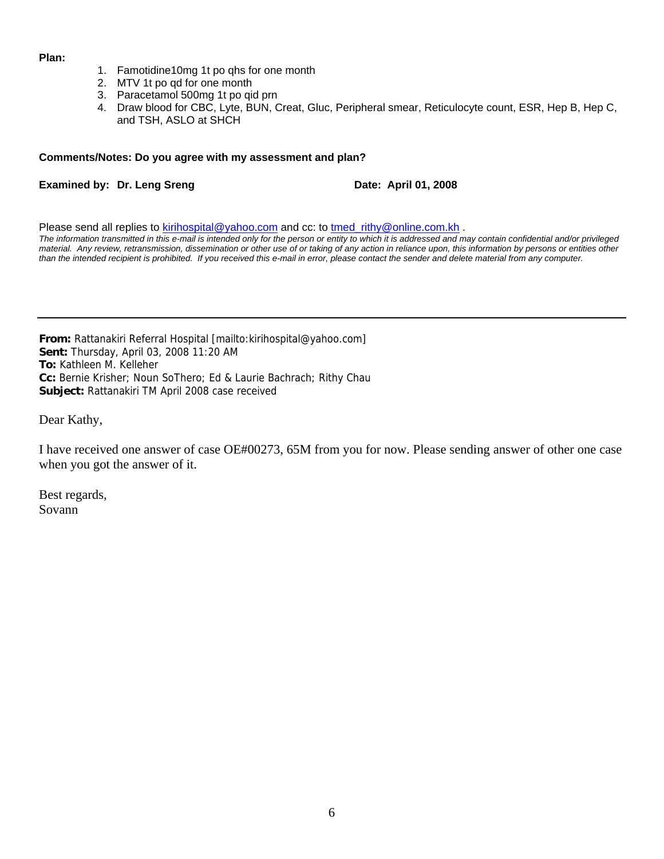#### **Plan:**

- 1. Famotidine10mg 1t po qhs for one month
- 2. MTV 1t po qd for one month
- 3. Paracetamol 500mg 1t po qid prn
- 4. Draw blood for CBC, Lyte, BUN, Creat, Gluc, Peripheral smear, Reticulocyte count, ESR, Hep B, Hep C, and TSH, ASLO at SHCH

#### **Comments/Notes: Do you agree with my assessment and plan?**

#### **Examined by: Dr. Leng Sreng Date: April 01, 2008**

Please send all replies to [kirihospital@yahoo.com](mailto:kirihospital@yahoo.com) and cc: to [tmed\\_rithy@online.com.kh](mailto:tmed_rithy@bigpond.com.kh) .

*The information transmitted in this e-mail is intended only for the person or entity to which it is addressed and may contain confidential and/or privileged material. Any review, retransmission, dissemination or other use of or taking of any action in reliance upon, this information by persons or entities other than the intended recipient is prohibited. If you received this e-mail in error, please contact the sender and delete material from any computer.*

**From:** Rattanakiri Referral Hospital [mailto:kirihospital@yahoo.com] **Sent:** Thursday, April 03, 2008 11:20 AM **To:** Kathleen M. Kelleher **Cc:** Bernie Krisher; Noun SoThero; Ed & Laurie Bachrach; Rithy Chau **Subject:** Rattanakiri TM April 2008 case received

Dear Kathy,

I have received one answer of case OE#00273, 65M from you for now. Please sending answer of other one case when you got the answer of it.

Best regards, Sovann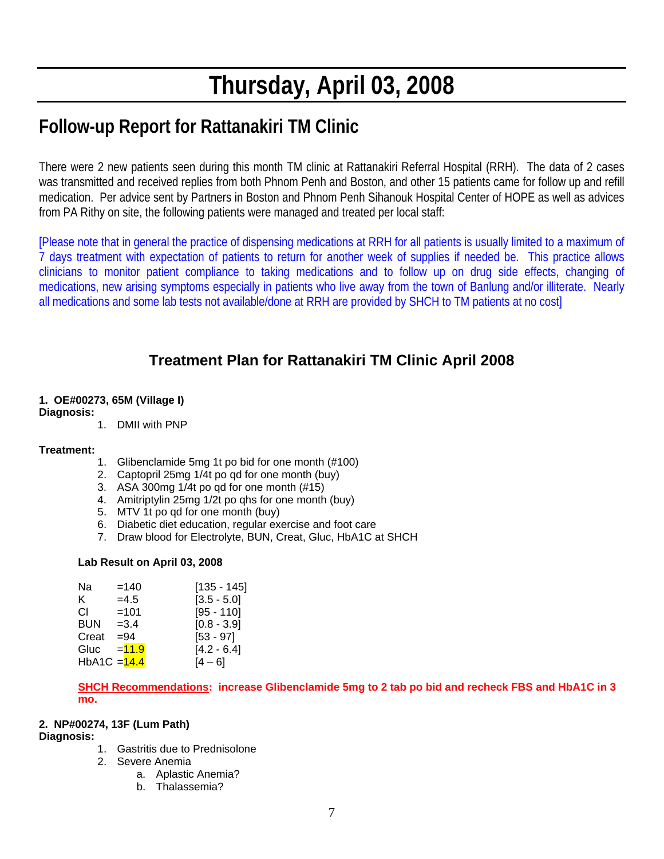# **Thursday, April 03, 2008**

## **Follow-up Report for Rattanakiri TM Clinic**

There were 2 new patients seen during this month TM clinic at Rattanakiri Referral Hospital (RRH). The data of 2 cases was transmitted and received replies from both Phnom Penh and Boston, and other 15 patients came for follow up and refill medication. Per advice sent by Partners in Boston and Phnom Penh Sihanouk Hospital Center of HOPE as well as advices from PA Rithy on site, the following patients were managed and treated per local staff:

[Please note that in general the practice of dispensing medications at RRH for all patients is usually limited to a maximum of 7 days treatment with expectation of patients to return for another week of supplies if needed be. This practice allows clinicians to monitor patient compliance to taking medications and to follow up on drug side effects, changing of medications, new arising symptoms especially in patients who live away from the town of Banlung and/or illiterate. Nearly all medications and some lab tests not available/done at RRH are provided by SHCH to TM patients at no cost]

## **Treatment Plan for Rattanakiri TM Clinic April 2008**

#### **1. OE#00273, 65M (Village I)**

#### **Diagnosis:**

1. DMII with PNP

#### **Treatment:**

- 1. Glibenclamide 5mg 1t po bid for one month (#100)
- 2. Captopril 25mg 1/4t po qd for one month (buy)
- 3. ASA 300mg 1/4t po qd for one month (#15)
- 4. Amitriptylin 25mg 1/2t po qhs for one month (buy)
- 5. MTV 1t po qd for one month (buy)
- 6. Diabetic diet education, regular exercise and foot care
- 7. Draw blood for Electrolyte, BUN, Creat, Gluc, HbA1C at SHCH

#### **Lab Result on April 03, 2008**

| Na             | $=140$  | $[135 - 145]$ |
|----------------|---------|---------------|
| ĸ.             | $=4.5$  | $[3.5 - 5.0]$ |
| CI.            | $=101$  | $[95 - 110]$  |
| BUN            | $=3.4$  | $[0.8 - 3.9]$ |
| Creat          | $= 94$  | $[53 - 97]$   |
| Gluc           | $=11.9$ | $[4.2 - 6.4]$ |
| $HbA1C = 14.4$ |         | [4 – 6]       |

**SHCH Recommendations: increase Glibenclamide 5mg to 2 tab po bid and recheck FBS and HbA1C in 3 mo.** 

#### **2. NP#00274, 13F (Lum Path)**

#### **Diagnosis:**

- 1. Gastritis due to Prednisolone
- 2. Severe Anemia
	- a. Aplastic Anemia?
	- b. Thalassemia?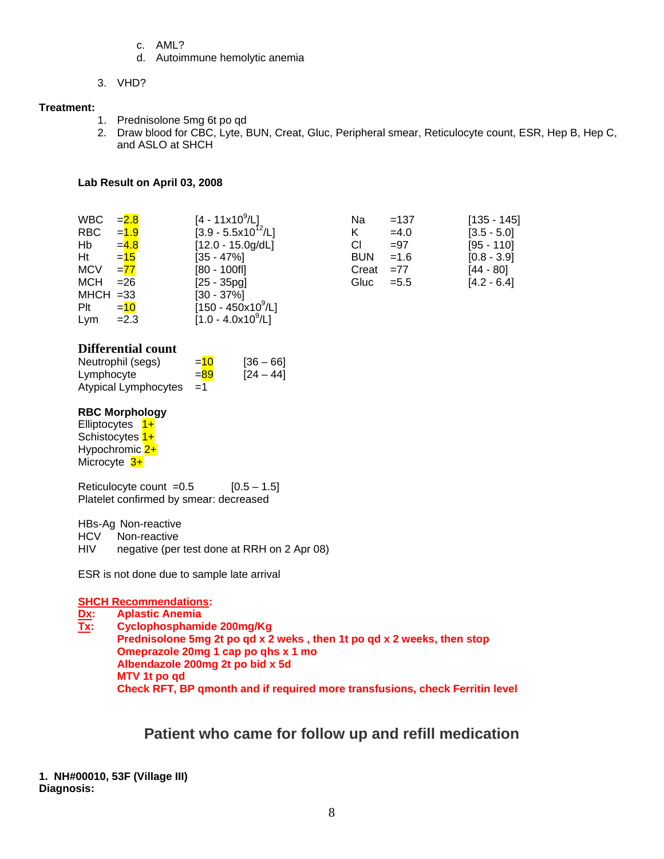- c. AML?
- d. Autoimmune hemolytic anemia
- 3. VHD?

#### **Treatment:**

- 1. Prednisolone 5mg 6t po qd
- 2. Draw blood for CBC, Lyte, BUN, Creat, Gluc, Peripheral smear, Reticulocyte count, ESR, Hep B, Hep C, and ASLO at SHCH

#### **Lab Result on April 03, 2008**

| <b>WBC</b><br>RBC<br>Hb<br>Ht<br><b>MCV</b><br><b>MCH</b> | $= 2.8$<br>$= 1.9$<br>$= 4.8$<br>$= 15$<br>$= 77$<br>$= 26$ | $[4 - 11 \times 10^9/\text{L}]$<br>$[3.9 - 5.5x10^{12}/L]$<br>$[12.0 - 15.0g/dL]$<br>$[35 - 47\%]$<br>$[80 - 100$ fl]<br>$[25 - 35pg]$ | Na<br>Κ<br>СI<br><b>BUN</b><br>Creat<br>Gluc | $=137$<br>$=4.0$<br>$= 97$<br>$=1.6$<br>$=77$<br>$= 5.5$ | $[135 - 145]$<br>$[3.5 - 5.0]$<br>$[95 - 110]$<br>$[0.8 - 3.9]$<br>[44 - 80] |
|-----------------------------------------------------------|-------------------------------------------------------------|----------------------------------------------------------------------------------------------------------------------------------------|----------------------------------------------|----------------------------------------------------------|------------------------------------------------------------------------------|
| $MHCH = 33$<br>Plt<br>Lym                                 | $=$ 10<br>$=2.3$                                            | $[30 - 37\%]$<br>$[150 - 450x10^9/L]$<br>$[1.0 - 4.0x10^9/L]$                                                                          |                                              |                                                          | $[4.2 - 6.4]$                                                                |

|                            | Na         | $=137$  | $[135 - 145]$ |
|----------------------------|------------|---------|---------------|
| /L]<br>0 <sup>12</sup> /L] | ĸ.         | $=4.0$  | $[3.5 - 5.0]$ |
| )g/dL]                     | СI         | $= 97$  | $[95 - 110]$  |
|                            | <b>BUN</b> | $=1.6$  | $[0.8 - 3.9]$ |
|                            | Creat      | $=77$   | [44 - 80]     |
|                            | Gluc       | $= 5.5$ | $[4.2 - 6.4]$ |

#### **Differential count**

| Neutrophil (segs)    | $= 10$ | $[36 - 66]$ |
|----------------------|--------|-------------|
| Lymphocyte           | $= 89$ | $[24 - 44]$ |
| Atypical Lymphocytes | - =1   |             |

#### **RBC Morphology**

Elliptocytes  $1+$ Schistocytes  $1+$ Hypochromic  $2+$ Microcyte 3+

Reticulocyte count  $=0.5$  [0.5 – 1.5] Platelet confirmed by smear: decreased

HBs-Ag Non-reactive

- HCV Non-reactive
- HIV negative (per test done at RRH on 2 Apr 08)

ESR is not done due to sample late arrival

#### **SHCH Recommendations:**

**Dx: Aplastic Anemia Tx: Cyclophosphamide 200mg/Kg Prednisolone 5mg 2t po qd x 2 weks , then 1t po qd x 2 weeks, then stop Omeprazole 20mg 1 cap po qhs x 1 mo Albendazole 200mg 2t po bid x 5d MTV 1t po qd Check RFT, BP qmonth and if required more transfusions, check Ferritin level** 

### **Patient who came for follow up and refill medication**

**1. NH#00010, 53F (Village III) Diagnosis:**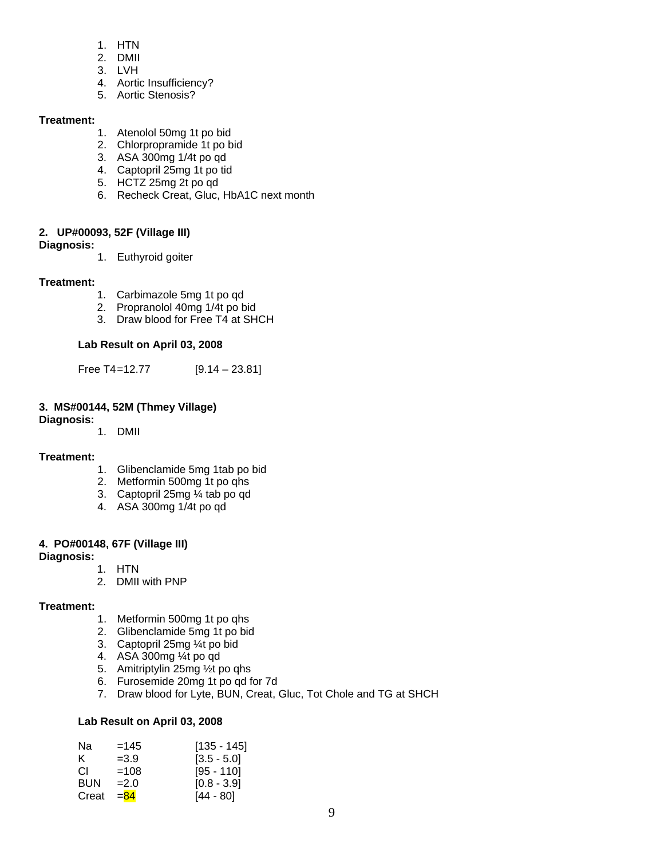- 1. HTN
- 2. DMII
- 3. LVH
- 4. Aortic Insufficiency?
- 5. Aortic Stenosis?

#### **Treatment:**

- 1. Atenolol 50mg 1t po bid
- 2. Chlorpropramide 1t po bid
- 3. ASA 300mg 1/4t po qd
- 4. Captopril 25mg 1t po tid
- 5. HCTZ 25mg 2t po qd
- 6. Recheck Creat, Gluc, HbA1C next month

#### **2. UP#00093, 52F (Village III)**

#### **Diagnosis:**

1. Euthyroid goiter

#### **Treatment:**

- 1. Carbimazole 5mg 1t po qd
- 2. Propranolol 40mg 1/4t po bid
- 3. Draw blood for Free T4 at SHCH

#### **Lab Result on April 03, 2008**

Free T4=12.77 [9.14 – 23.81]

#### **3. MS#00144, 52M (Thmey Village)**

**Diagnosis:** 

1. DMII

#### **Treatment:**

- 1. Glibenclamide 5mg 1tab po bid
- 2. Metformin 500mg 1t po qhs
- 3. Captopril 25mg ¼ tab po qd
- 4. ASA 300mg 1/4t po qd

#### **4. PO#00148, 67F (Village III)**

#### **Diagnosis:**

- 1. HTN
	- 2. DMII with PNP

#### **Treatment:**

- 1. Metformin 500mg 1t po qhs
- 2. Glibenclamide 5mg 1t po bid
- 3. Captopril 25mg ¼t po bid
- 4. ASA 300mg ¼t po qd
- 5. Amitriptylin 25mg ½t po qhs
- 6. Furosemide 20mg 1t po qd for 7d
- 7. Draw blood for Lyte, BUN, Creat, Gluc, Tot Chole and TG at SHCH

#### **Lab Result on April 03, 2008**

| Nа    | $=145$ | $[135 - 145]$ |
|-------|--------|---------------|
| ĸ.    | $=3.9$ | $[3.5 - 5.0]$ |
| CL.   | $=108$ | $[95 - 110]$  |
| BUN   | $=2.0$ | $[0.8 - 3.9]$ |
| Creat | $= 84$ | $[44 - 80]$   |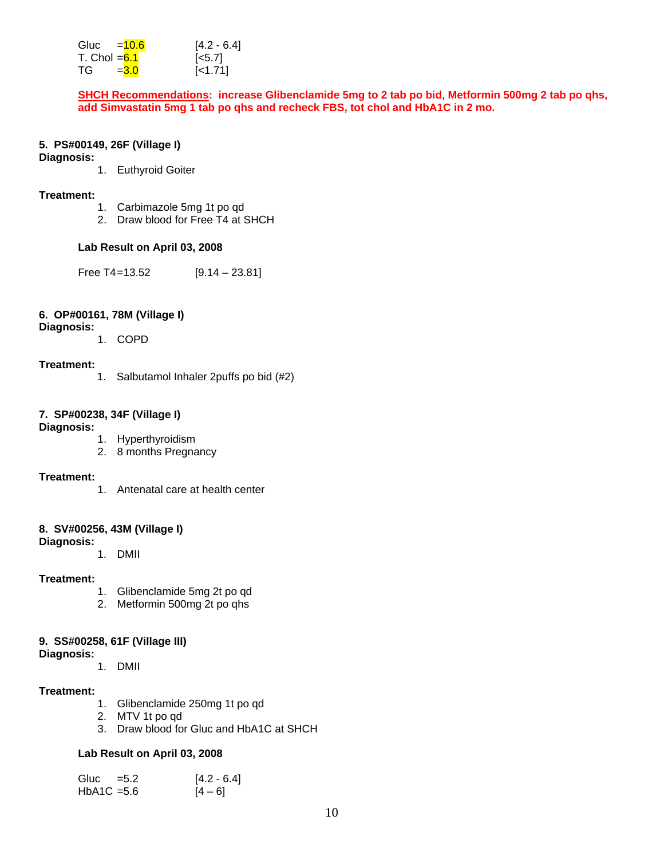| Gluc $=$ 10.6  |         | $[4.2 - 6.4]$      |
|----------------|---------|--------------------|
| T. Chol $=6.1$ |         | $\left[5.7\right]$ |
| TG -           | $= 3.0$ | $[-1.71]$          |

**SHCH Recommendations: increase Glibenclamide 5mg to 2 tab po bid, Metformin 500mg 2 tab po qhs, add Simvastatin 5mg 1 tab po qhs and recheck FBS, tot chol and HbA1C in 2 mo.** 

#### **5. PS#00149, 26F (Village I)**

#### **Diagnosis:**

1. Euthyroid Goiter

#### **Treatment:**

- 1. Carbimazole 5mg 1t po qd
- 2. Draw blood for Free T4 at SHCH

#### **Lab Result on April 03, 2008**

Free T4=13.52 [9.14 – 23.81]

#### **6. OP#00161, 78M (Village I)**

#### **Diagnosis:**

1. COPD

#### **Treatment:**

1. Salbutamol Inhaler 2puffs po bid (#2)

#### **7. SP#00238, 34F (Village I)**

#### **Diagnosis:**

- 1. Hyperthyroidism
- 2. 8 months Pregnancy

#### **Treatment:**

1. Antenatal care at health center

#### **8. SV#00256, 43M (Village I)**

#### **Diagnosis:**

1. DMII

#### **Treatment:**

- 1. Glibenclamide 5mg 2t po qd
- 2. Metformin 500mg 2t po qhs

#### **9. SS#00258, 61F (Village III)**

**Diagnosis:**

1. DMII

#### **Treatment:**

- 1. Glibenclamide 250mg 1t po qd
- 2. MTV 1t po qd
- 3. Draw blood for Gluc and HbA1C at SHCH

#### **Lab Result on April 03, 2008**

| Gluc $=5.2$   | $[4.2 - 6.4]$ |
|---------------|---------------|
| $HbA1C = 5.6$ | $[4 - 6]$     |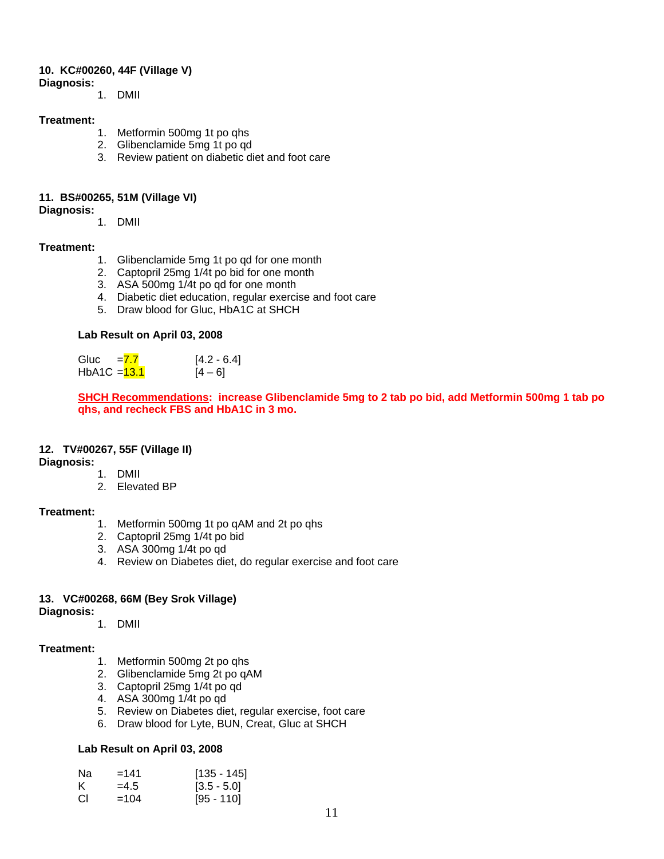#### **10. KC#00260, 44F (Village V)**

**Diagnosis:**

1. DMII

#### **Treatment:**

- 1. Metformin 500mg 1t po qhs
- 2. Glibenclamide 5mg 1t po qd
- 3. Review patient on diabetic diet and foot care

#### **11. BS#00265, 51M (Village VI)**

**Diagnosis:**

1. DMII

#### **Treatment:**

- 1. Glibenclamide 5mg 1t po qd for one month
- 2. Captopril 25mg 1/4t po bid for one month
- 3. ASA 500mg 1/4t po qd for one month
- 4. Diabetic diet education, regular exercise and foot care
- 5. Draw blood for Gluc, HbA1C at SHCH

#### **Lab Result on April 03, 2008**

Gluc  $= 7.7$  [4.2 - 6.4] HbA1C =  $13.1$  [4 – 6]

**SHCH Recommendations: increase Glibenclamide 5mg to 2 tab po bid, add Metformin 500mg 1 tab po qhs, and recheck FBS and HbA1C in 3 mo.** 

#### **12. TV#00267, 55F (Village II)**

**Diagnosis:**

- 1. DMII
- 2. Elevated BP

#### **Treatment:**

- 1. Metformin 500mg 1t po qAM and 2t po qhs
- 2. Captopril 25mg 1/4t po bid
- 3. ASA 300mg 1/4t po qd
- 4. Review on Diabetes diet, do regular exercise and foot care

#### **13. VC#00268, 66M (Bey Srok Village)**

**Diagnosis:**

#### 1. DMII

#### **Treatment:**

- 1. Metformin 500mg 2t po qhs
- 2. Glibenclamide 5mg 2t po qAM
- 3. Captopril 25mg 1/4t po qd
- 4. ASA 300mg 1/4t po qd
- 5. Review on Diabetes diet, regular exercise, foot care
- 6. Draw blood for Lyte, BUN, Creat, Gluc at SHCH

#### **Lab Result on April 03, 2008**

| Nа  | $=141$ | $[135 - 145]$ |
|-----|--------|---------------|
| ĸ.  | $=4.5$ | $[3.5 - 5.0]$ |
| CI. | $=104$ | $[95 - 110]$  |